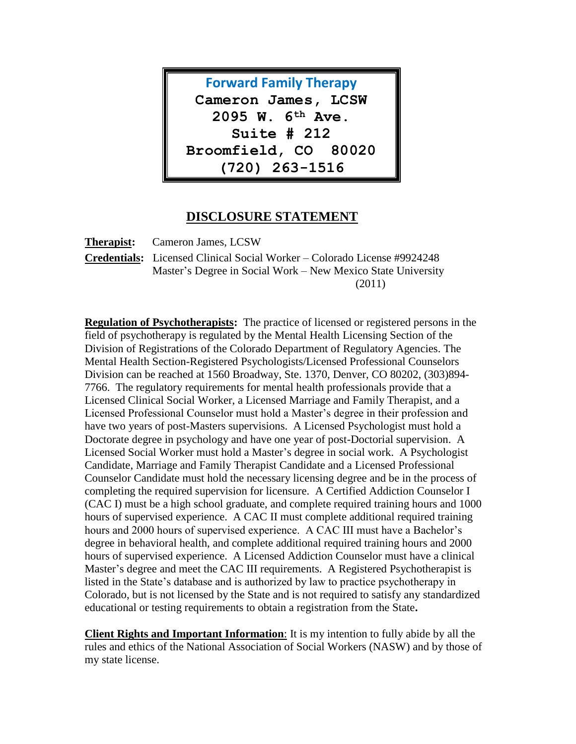

## **DISCLOSURE STATEMENT**

**Therapist:** Cameron James, LCSW **Credentials:** Licensed Clinical Social Worker – Colorado License #9924248 Master's Degree in Social Work – New Mexico State University (2011)

**Regulation of Psychotherapists:** The practice of licensed or registered persons in the field of psychotherapy is regulated by the Mental Health Licensing Section of the Division of Registrations of the Colorado Department of Regulatory Agencies. The Mental Health Section-Registered Psychologists/Licensed Professional Counselors Division can be reached at 1560 Broadway, Ste. 1370, Denver, CO 80202, (303)894- 7766. The regulatory requirements for mental health professionals provide that a Licensed Clinical Social Worker, a Licensed Marriage and Family Therapist, and a Licensed Professional Counselor must hold a Master's degree in their profession and have two years of post-Masters supervisions. A Licensed Psychologist must hold a Doctorate degree in psychology and have one year of post-Doctorial supervision. A Licensed Social Worker must hold a Master's degree in social work. A Psychologist Candidate, Marriage and Family Therapist Candidate and a Licensed Professional Counselor Candidate must hold the necessary licensing degree and be in the process of completing the required supervision for licensure. A Certified Addiction Counselor I (CAC I) must be a high school graduate, and complete required training hours and 1000 hours of supervised experience. A CAC II must complete additional required training hours and 2000 hours of supervised experience. A CAC III must have a Bachelor's degree in behavioral health, and complete additional required training hours and 2000 hours of supervised experience. A Licensed Addiction Counselor must have a clinical Master's degree and meet the CAC III requirements. A Registered Psychotherapist is listed in the State's database and is authorized by law to practice psychotherapy in Colorado, but is not licensed by the State and is not required to satisfy any standardized educational or testing requirements to obtain a registration from the State**.** 

**Client Rights and Important Information**: It is my intention to fully abide by all the rules and ethics of the National Association of Social Workers (NASW) and by those of my state license.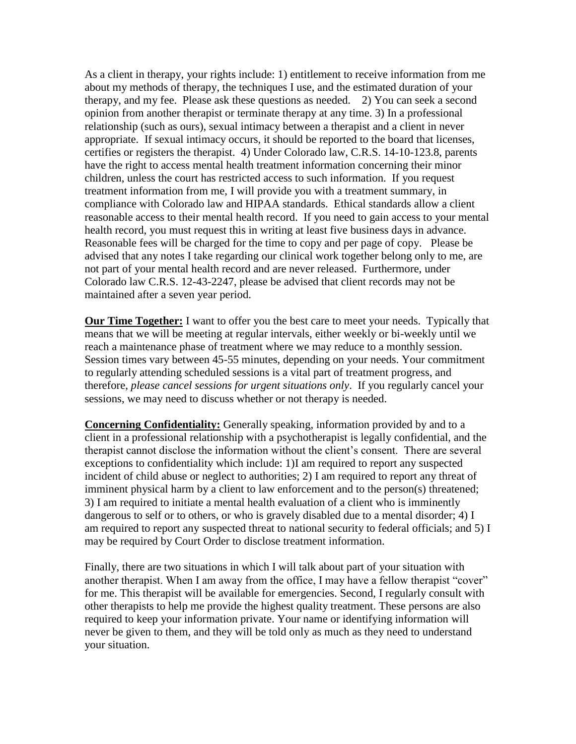As a client in therapy, your rights include: 1) entitlement to receive information from me about my methods of therapy, the techniques I use, and the estimated duration of your therapy, and my fee. Please ask these questions as needed. 2) You can seek a second opinion from another therapist or terminate therapy at any time. 3) In a professional relationship (such as ours), sexual intimacy between a therapist and a client in never appropriate. If sexual intimacy occurs, it should be reported to the board that licenses, certifies or registers the therapist. 4) Under Colorado law, C.R.S. 14-10-123.8, parents have the right to access mental health treatment information concerning their minor children, unless the court has restricted access to such information. If you request treatment information from me, I will provide you with a treatment summary, in compliance with Colorado law and HIPAA standards. Ethical standards allow a client reasonable access to their mental health record. If you need to gain access to your mental health record, you must request this in writing at least five business days in advance. Reasonable fees will be charged for the time to copy and per page of copy. Please be advised that any notes I take regarding our clinical work together belong only to me, are not part of your mental health record and are never released. Furthermore, under Colorado law C.R.S. 12-43-2247, please be advised that client records may not be maintained after a seven year period.

**Our Time Together:** I want to offer you the best care to meet your needs. Typically that means that we will be meeting at regular intervals, either weekly or bi-weekly until we reach a maintenance phase of treatment where we may reduce to a monthly session. Session times vary between 45-55 minutes, depending on your needs. Your commitment to regularly attending scheduled sessions is a vital part of treatment progress, and therefore, *please cancel sessions for urgent situations only*. If you regularly cancel your sessions, we may need to discuss whether or not therapy is needed.

**Concerning Confidentiality:** Generally speaking, information provided by and to a client in a professional relationship with a psychotherapist is legally confidential, and the therapist cannot disclose the information without the client's consent. There are several exceptions to confidentiality which include: 1)I am required to report any suspected incident of child abuse or neglect to authorities; 2) I am required to report any threat of imminent physical harm by a client to law enforcement and to the person(s) threatened; 3) I am required to initiate a mental health evaluation of a client who is imminently dangerous to self or to others, or who is gravely disabled due to a mental disorder; 4) I am required to report any suspected threat to national security to federal officials; and 5) I may be required by Court Order to disclose treatment information.

Finally, there are two situations in which I will talk about part of your situation with another therapist. When I am away from the office, I may have a fellow therapist "cover" for me. This therapist will be available for emergencies. Second, I regularly consult with other therapists to help me provide the highest quality treatment. These persons are also required to keep your information private. Your name or identifying information will never be given to them, and they will be told only as much as they need to understand your situation.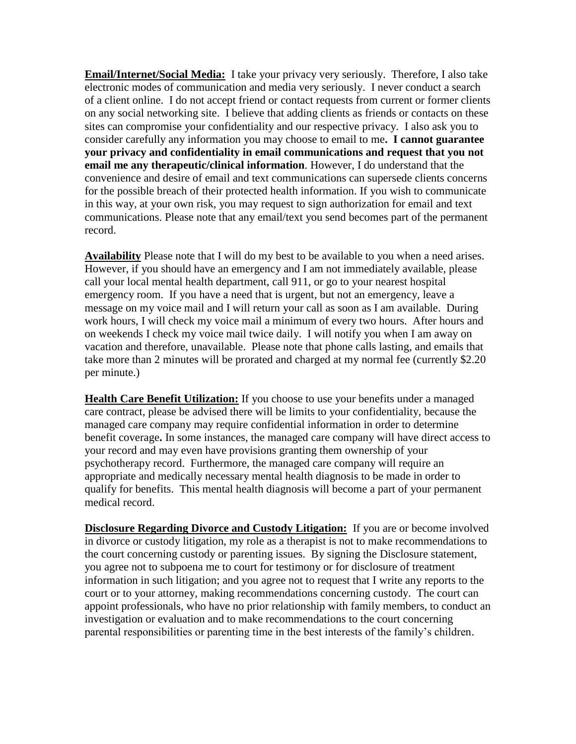**Email/Internet/Social Media:** I take your privacy very seriously. Therefore, I also take electronic modes of communication and media very seriously. I never conduct a search of a client online. I do not accept friend or contact requests from current or former clients on any social networking site. I believe that adding clients as friends or contacts on these sites can compromise your confidentiality and our respective privacy. I also ask you to consider carefully any information you may choose to email to me**. I cannot guarantee your privacy and confidentiality in email communications and request that you not email me any therapeutic/clinical information**. However, I do understand that the convenience and desire of email and text communications can supersede clients concerns for the possible breach of their protected health information. If you wish to communicate in this way, at your own risk, you may request to sign authorization for email and text communications. Please note that any email/text you send becomes part of the permanent record.

**Availability** Please note that I will do my best to be available to you when a need arises. However, if you should have an emergency and I am not immediately available, please call your local mental health department, call 911, or go to your nearest hospital emergency room. If you have a need that is urgent, but not an emergency, leave a message on my voice mail and I will return your call as soon as I am available. During work hours, I will check my voice mail a minimum of every two hours. After hours and on weekends I check my voice mail twice daily. I will notify you when I am away on vacation and therefore, unavailable. Please note that phone calls lasting, and emails that take more than 2 minutes will be prorated and charged at my normal fee (currently \$2.20 per minute.)

**Health Care Benefit Utilization:** If you choose to use your benefits under a managed care contract, please be advised there will be limits to your confidentiality, because the managed care company may require confidential information in order to determine benefit coverage**.** In some instances, the managed care company will have direct access to your record and may even have provisions granting them ownership of your psychotherapy record. Furthermore, the managed care company will require an appropriate and medically necessary mental health diagnosis to be made in order to qualify for benefits. This mental health diagnosis will become a part of your permanent medical record.

**Disclosure Regarding Divorce and Custody Litigation:** If you are or become involved in divorce or custody litigation, my role as a therapist is not to make recommendations to the court concerning custody or parenting issues. By signing the Disclosure statement, you agree not to subpoena me to court for testimony or for disclosure of treatment information in such litigation; and you agree not to request that I write any reports to the court or to your attorney, making recommendations concerning custody. The court can appoint professionals, who have no prior relationship with family members, to conduct an investigation or evaluation and to make recommendations to the court concerning parental responsibilities or parenting time in the best interests of the family's children.